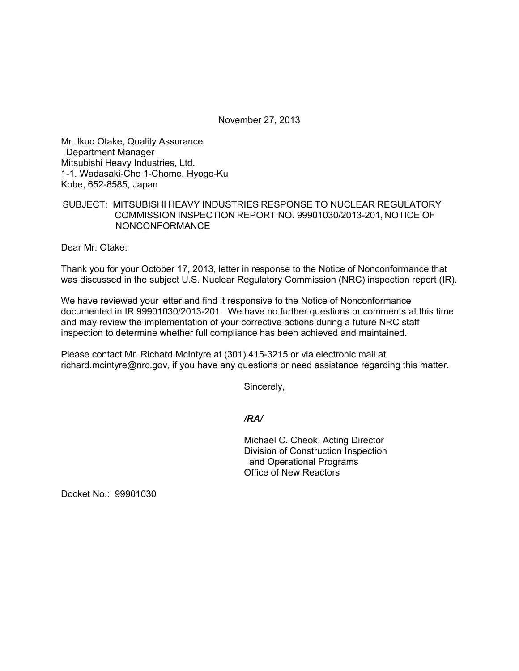November 27, 2013

Mr. Ikuo Otake, Quality Assurance Department Manager Mitsubishi Heavy Industries, Ltd. 1-1. Wadasaki-Cho 1-Chome, Hyogo-Ku Kobe, 652-8585, Japan

## SUBJECT: MITSUBISHI HEAVY INDUSTRIES RESPONSE TO NUCLEAR REGULATORY COMMISSION INSPECTION REPORT NO. 99901030/2013-201, NOTICE OF NONCONFORMANCE

Dear Mr. Otake:

Thank you for your October 17, 2013, letter in response to the Notice of Nonconformance that was discussed in the subject U.S. Nuclear Regulatory Commission (NRC) inspection report (IR).

We have reviewed your letter and find it responsive to the Notice of Nonconformance documented in IR 99901030/2013-201. We have no further questions or comments at this time and may review the implementation of your corrective actions during a future NRC staff inspection to determine whether full compliance has been achieved and maintained.

Please contact Mr. Richard McIntyre at (301) 415-3215 or via electronic mail at richard.mcintyre@nrc.gov, if you have any questions or need assistance regarding this matter.

Sincerely,

*/RA/* 

Michael C. Cheok, Acting Director Division of Construction Inspection and Operational Programs Office of New Reactors

Docket No.: 99901030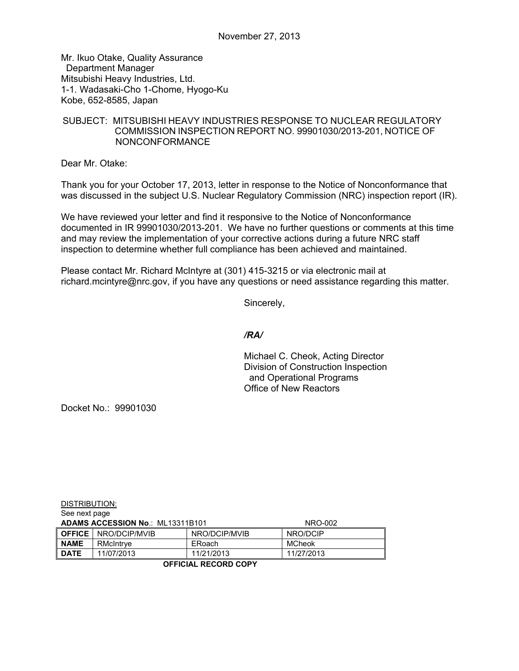Mr. Ikuo Otake, Quality Assurance Department Manager Mitsubishi Heavy Industries, Ltd. 1-1. Wadasaki-Cho 1-Chome, Hyogo-Ku Kobe, 652-8585, Japan

## SUBJECT: MITSUBISHI HEAVY INDUSTRIES RESPONSE TO NUCLEAR REGULATORY COMMISSION INSPECTION REPORT NO. 99901030/2013-201, NOTICE OF NONCONFORMANCE

Dear Mr. Otake:

Thank you for your October 17, 2013, letter in response to the Notice of Nonconformance that was discussed in the subject U.S. Nuclear Regulatory Commission (NRC) inspection report (IR).

We have reviewed your letter and find it responsive to the Notice of Nonconformance documented in IR 99901030/2013-201. We have no further questions or comments at this time and may review the implementation of your corrective actions during a future NRC staff inspection to determine whether full compliance has been achieved and maintained.

Please contact Mr. Richard McIntyre at (301) 415-3215 or via electronic mail at richard.mcintyre@nrc.gov, if you have any questions or need assistance regarding this matter.

Sincerely,

## */RA/*

Michael C. Cheok, Acting Director Division of Construction Inspection and Operational Programs Office of New Reactors

Docket No.: 99901030

DISTRIBUTION:

| See next page                           |                             |               |            |
|-----------------------------------------|-----------------------------|---------------|------------|
| <b>ADAMS ACCESSION No.: ML13311B101</b> |                             |               | NRO-002    |
|                                         | <b>OFFICE</b> NRO/DCIP/MVIB | NRO/DCIP/MVIB | NRO/DCIP   |
| <b>NAME</b>                             | RMcIntrye                   | ERoach        | MCheok     |
| <b>DATE</b>                             | 11/07/2013                  | 11/21/2013    | 11/27/2013 |

**OFFICIAL RECORD COPY**